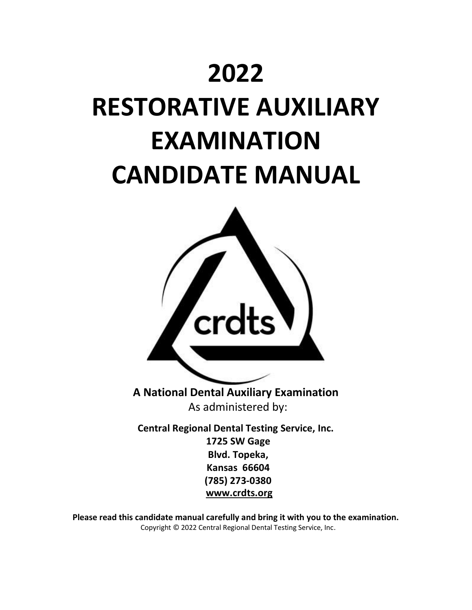# **2022**

# **RESTORATIVE AUXILIARY EXAMINATION CANDIDATE MANUAL**



**A National Dental Auxiliary Examination** As administered by:

**Central Regional Dental Testing Service, Inc. 1725 SW Gage Blvd. Topeka, Kansas 66604 (785) 273-0380 [www.crdts.org](http://www.srta.org/)**

**Please read this candidate manual carefully and bring it with you to the examination.** Copyright © 2022 Central Regional Dental Testing Service, Inc.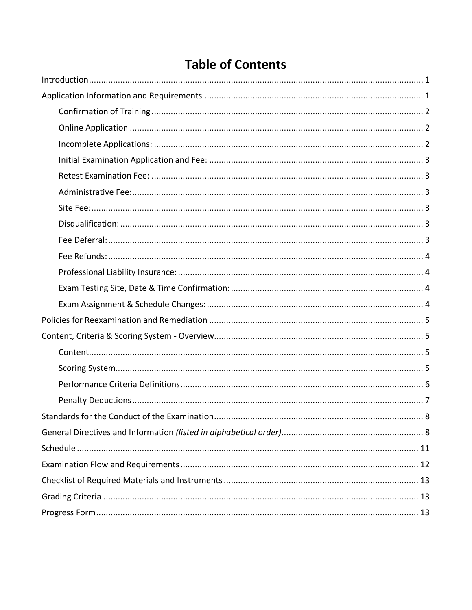# **Table of Contents**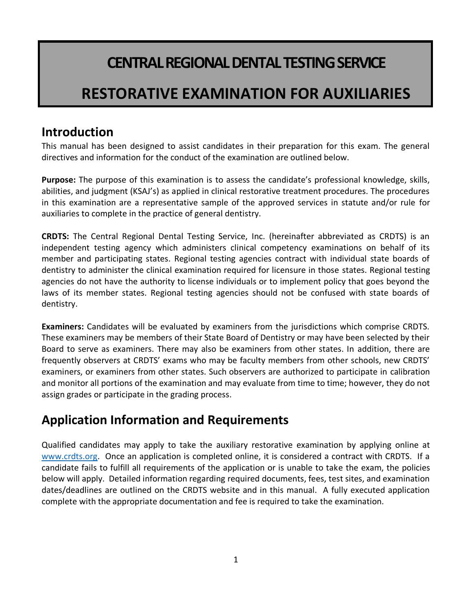# **CENTRAL REGIONAL DENTAL TESTING SERVICE**

# **RESTORATIVE EXAMINATION FOR AUXILIARIES**

# <span id="page-2-0"></span>**Introduction**

This manual has been designed to assist candidates in their preparation for this exam. The general directives and information for the conduct of the examination are outlined below.

**Purpose:** The purpose of this examination is to assess the candidate's professional knowledge, skills, abilities, and judgment (KSAJ's) as applied in clinical restorative treatment procedures. The procedures in this examination are a representative sample of the approved services in statute and/or rule for auxiliaries to complete in the practice of general dentistry.

**CRDTS:** The Central Regional Dental Testing Service, Inc. (hereinafter abbreviated as CRDTS) is an independent testing agency which administers clinical competency examinations on behalf of its member and participating states. Regional testing agencies contract with individual state boards of dentistry to administer the clinical examination required for licensure in those states. Regional testing agencies do not have the authority to license individuals or to implement policy that goes beyond the laws of its member states. Regional testing agencies should not be confused with state boards of dentistry.

**Examiners:** Candidates will be evaluated by examiners from the jurisdictions which comprise CRDTS. These examiners may be members of their State Board of Dentistry or may have been selected by their Board to serve as examiners. There may also be examiners from other states. In addition, there are frequently observers at CRDTS' exams who may be faculty members from other schools, new CRDTS' examiners, or examiners from other states. Such observers are authorized to participate in calibration and monitor all portions of the examination and may evaluate from time to time; however, they do not assign grades or participate in the grading process.

# <span id="page-2-1"></span>**Application Information and Requirements**

Qualified candidates may apply to take the auxiliary restorative examination by applying online at [www.crdts.org.](http://www.crdts.org/) Once an application is completed online, it is considered a contract with CRDTS. If a candidate fails to fulfill all requirements of the application or is unable to take the exam, the policies below will apply. Detailed information regarding required documents, fees, test sites, and examination dates/deadlines are outlined on the CRDTS website and in this manual. A fully executed application complete with the appropriate documentation and fee is required to take the examination.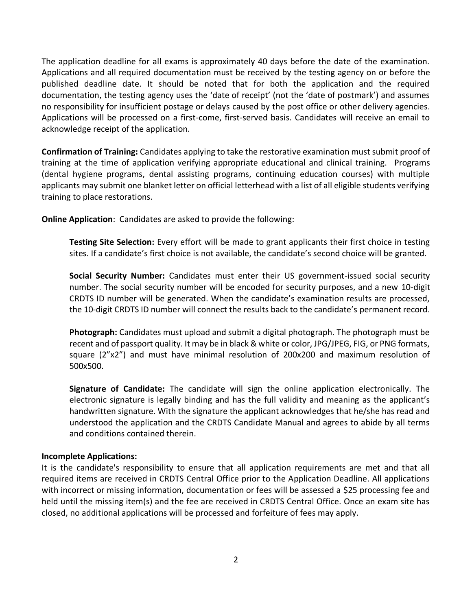The application deadline for all exams is approximately 40 days before the date of the examination. Applications and all required documentation must be received by the testing agency on or before the published deadline date. It should be noted that for both the application and the required documentation, the testing agency uses the 'date of receipt' (not the 'date of postmark') and assumes no responsibility for insufficient postage or delays caused by the post office or other delivery agencies. Applications will be processed on a first-come, first-served basis. Candidates will receive an email to acknowledge receipt of the application.

<span id="page-3-0"></span>**Confirmation of Training:** Candidates applying to take the restorative examination must submit proof of training at the time of application verifying appropriate educational and clinical training. Programs (dental hygiene programs, dental assisting programs, continuing education courses) with multiple applicants may submit one blanket letter on official letterhead with a list of all eligible students verifying training to place restorations.

<span id="page-3-1"></span>**Online Application**: Candidates are asked to provide the following:

**Testing Site Selection:** Every effort will be made to grant applicants their first choice in testing sites. If a candidate's first choice is not available, the candidate's second choice will be granted.

**Social Security Number:** Candidates must enter their US government-issued social security number. The social security number will be encoded for security purposes, and a new 10-digit CRDTS ID number will be generated. When the candidate's examination results are processed, the 10-digit CRDTS ID number will connect the results back to the candidate's permanent record.

**Photograph:** Candidates must upload and submit a digital photograph. The photograph must be recent and of passport quality. It may be in black & white or color, JPG/JPEG, FIG, or PNG formats, square (2"x2") and must have minimal resolution of 200x200 and maximum resolution of 500x500.

**Signature of Candidate:** The candidate will sign the online application electronically. The electronic signature is legally binding and has the full validity and meaning as the applicant's handwritten signature. With the signature the applicant acknowledges that he/she has read and understood the application and the CRDTS Candidate Manual and agrees to abide by all terms and conditions contained therein.

### <span id="page-3-2"></span>**Incomplete Applications:**

It is the candidate's responsibility to ensure that all application requirements are met and that all required items are received in CRDTS Central Office prior to the Application Deadline. All applications with incorrect or missing information, documentation or fees will be assessed a \$25 processing fee and held until the missing item(s) and the fee are received in CRDTS Central Office. Once an exam site has closed, no additional applications will be processed and forfeiture of fees may apply.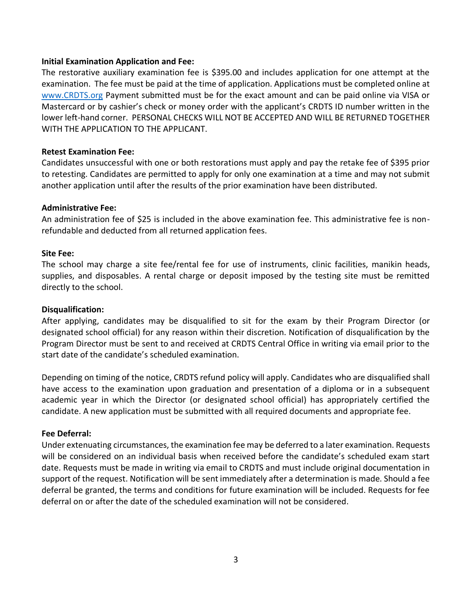#### <span id="page-4-0"></span>**Initial Examination Application and Fee:**

The restorative auxiliary examination fee is \$395.00 and includes application for one attempt at the examination. The fee must be paid at the time of application. Applications must be completed online at [www.CRDTS.org](http://www.crdts.org/) Payment submitted must be for the exact amount and can be paid online via VISA or Mastercard or by cashier's check or money order with the applicant's CRDTS ID number written in the lower left-hand corner. PERSONAL CHECKS WILL NOT BE ACCEPTED AND WILL BE RETURNED TOGETHER WITH THE APPLICATION TO THE APPLICANT.

#### <span id="page-4-1"></span>**Retest Examination Fee:**

Candidates unsuccessful with one or both restorations must apply and pay the retake fee of \$395 prior to retesting. Candidates are permitted to apply for only one examination at a time and may not submit another application until after the results of the prior examination have been distributed.

#### <span id="page-4-2"></span>**Administrative Fee:**

An administration fee of \$25 is included in the above examination fee. This administrative fee is nonrefundable and deducted from all returned application fees.

#### <span id="page-4-3"></span>**Site Fee:**

The school may charge a site fee/rental fee for use of instruments, clinic facilities, manikin heads, supplies, and disposables. A rental charge or deposit imposed by the testing site must be remitted directly to the school.

#### <span id="page-4-4"></span>**Disqualification:**

After applying, candidates may be disqualified to sit for the exam by their Program Director (or designated school official) for any reason within their discretion. Notification of disqualification by the Program Director must be sent to and received at CRDTS Central Office in writing via email prior to the start date of the candidate's scheduled examination.

Depending on timing of the notice, CRDTS refund policy will apply. Candidates who are disqualified shall have access to the examination upon graduation and presentation of a diploma or in a subsequent academic year in which the Director (or designated school official) has appropriately certified the candidate. A new application must be submitted with all required documents and appropriate fee.

### <span id="page-4-5"></span>**Fee Deferral:**

Under extenuating circumstances, the examination fee may be deferred to a later examination. Requests will be considered on an individual basis when received before the candidate's scheduled exam start date. Requests must be made in writing via email to CRDTS and must include original documentation in support of the request. Notification will be sent immediately after a determination is made. Should a fee deferral be granted, the terms and conditions for future examination will be included. Requests for fee deferral on or after the date of the scheduled examination will not be considered.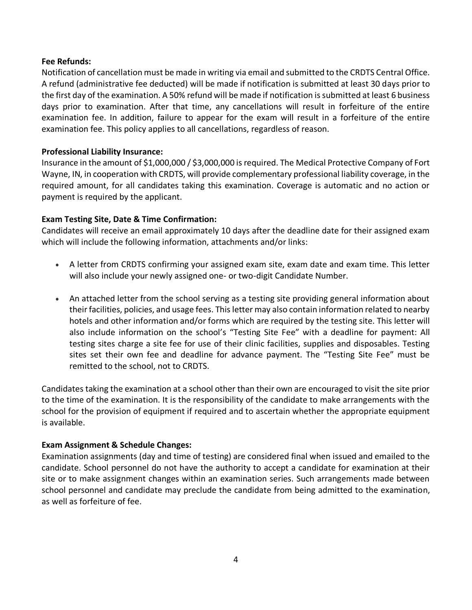### <span id="page-5-0"></span>**Fee Refunds:**

Notification of cancellation must be made in writing via email and submitted to the CRDTS Central Office. A refund (administrative fee deducted) will be made if notification is submitted at least 30 days prior to the first day of the examination. A 50% refund will be made if notification is submitted at least 6 business days prior to examination. After that time, any cancellations will result in forfeiture of the entire examination fee. In addition, failure to appear for the exam will result in a forfeiture of the entire examination fee. This policy applies to all cancellations, regardless of reason.

#### <span id="page-5-1"></span>**Professional Liability Insurance:**

Insurance in the amount of \$1,000,000 / \$3,000,000 is required. The Medical Protective Company of Fort Wayne, IN, in cooperation with CRDTS, will provide complementary professional liability coverage, in the required amount, for all candidates taking this examination. Coverage is automatic and no action or payment is required by the applicant.

### <span id="page-5-2"></span>**Exam Testing Site, Date & Time Confirmation:**

Candidates will receive an email approximately 10 days after the deadline date for their assigned exam which will include the following information, attachments and/or links:

- A letter from CRDTS confirming your assigned exam site, exam date and exam time. This letter will also include your newly assigned one- or two-digit Candidate Number.
- An attached letter from the school serving as a testing site providing general information about their facilities, policies, and usage fees. This letter may also contain information related to nearby hotels and other information and/or forms which are required by the testing site. This letter will also include information on the school's "Testing Site Fee" with a deadline for payment: All testing sites charge a site fee for use of their clinic facilities, supplies and disposables. Testing sites set their own fee and deadline for advance payment. The "Testing Site Fee" must be remitted to the school, not to CRDTS.

Candidates taking the examination at a school other than their own are encouraged to visit the site prior to the time of the examination. It is the responsibility of the candidate to make arrangements with the school for the provision of equipment if required and to ascertain whether the appropriate equipment is available.

### <span id="page-5-3"></span>**Exam Assignment & Schedule Changes:**

Examination assignments (day and time of testing) are considered final when issued and emailed to the candidate. School personnel do not have the authority to accept a candidate for examination at their site or to make assignment changes within an examination series. Such arrangements made between school personnel and candidate may preclude the candidate from being admitted to the examination, as well as forfeiture of fee.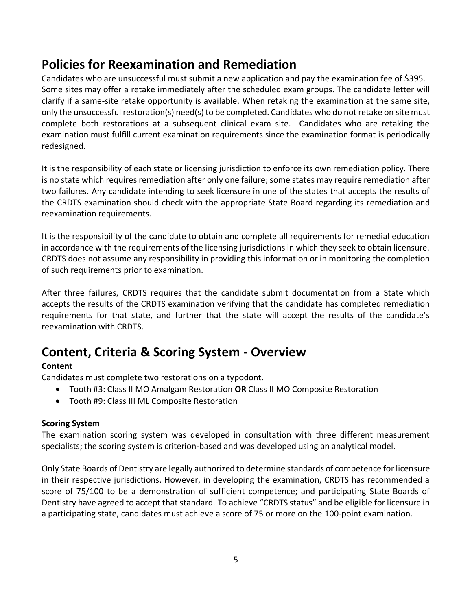# <span id="page-6-0"></span>**Policies for Reexamination and Remediation**

Candidates who are unsuccessful must submit a new application and pay the examination fee of \$395. Some sites may offer a retake immediately after the scheduled exam groups. The candidate letter will clarify if a same-site retake opportunity is available. When retaking the examination at the same site, only the unsuccessful restoration(s) need(s) to be completed. Candidates who do not retake on site must complete both restorations at a subsequent clinical exam site. Candidates who are retaking the examination must fulfill current examination requirements since the examination format is periodically redesigned.

It is the responsibility of each state or licensing jurisdiction to enforce its own remediation policy. There is no state which requires remediation after only one failure; some states may require remediation after two failures. Any candidate intending to seek licensure in one of the states that accepts the results of the CRDTS examination should check with the appropriate State Board regarding its remediation and reexamination requirements.

It is the responsibility of the candidate to obtain and complete all requirements for remedial education in accordance with the requirements of the licensing jurisdictions in which they seek to obtain licensure. CRDTS does not assume any responsibility in providing this information or in monitoring the completion of such requirements prior to examination.

After three failures, CRDTS requires that the candidate submit documentation from a State which accepts the results of the CRDTS examination verifying that the candidate has completed remediation requirements for that state, and further that the state will accept the results of the candidate's reexamination with CRDTS.

# <span id="page-6-1"></span>**Content, Criteria & Scoring System - Overview**

### <span id="page-6-2"></span>**Content**

Candidates must complete two restorations on a typodont.

- Tooth #3: Class II MO Amalgam Restoration **OR** Class II MO Composite Restoration
- Tooth #9: Class III ML Composite Restoration

### <span id="page-6-3"></span>**Scoring System**

The examination scoring system was developed in consultation with three different measurement specialists; the scoring system is criterion-based and was developed using an analytical model.

Only State Boards of Dentistry are legally authorized to determine standards of competence for licensure in their respective jurisdictions. However, in developing the examination, CRDTS has recommended a score of 75/100 to be a demonstration of sufficient competence; and participating State Boards of Dentistry have agreed to accept that standard. To achieve "CRDTS status" and be eligible for licensure in a participating state, candidates must achieve a score of 75 or more on the 100-point examination.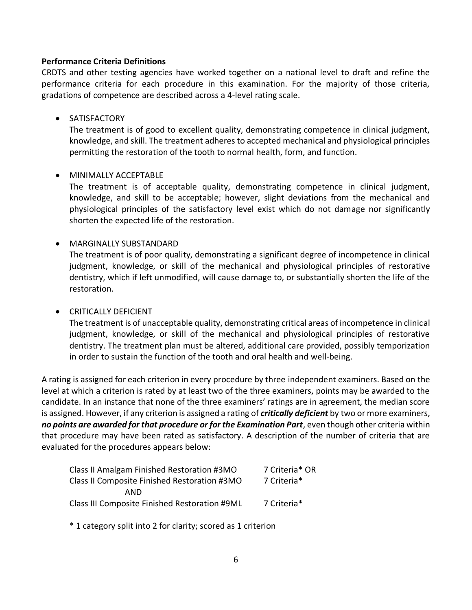### <span id="page-7-0"></span>**Performance Criteria Definitions**

CRDTS and other testing agencies have worked together on a national level to draft and refine the performance criteria for each procedure in this examination. For the majority of those criteria, gradations of competence are described across a 4-level rating scale.

### • SATISFACTORY

The treatment is of good to excellent quality, demonstrating competence in clinical judgment, knowledge, and skill. The treatment adheres to accepted mechanical and physiological principles permitting the restoration of the tooth to normal health, form, and function.

### • MINIMALLY ACCEPTABLE

The treatment is of acceptable quality, demonstrating competence in clinical judgment, knowledge, and skill to be acceptable; however, slight deviations from the mechanical and physiological principles of the satisfactory level exist which do not damage nor significantly shorten the expected life of the restoration.

### • MARGINALLY SUBSTANDARD

The treatment is of poor quality, demonstrating a significant degree of incompetence in clinical judgment, knowledge, or skill of the mechanical and physiological principles of restorative dentistry, which if left unmodified, will cause damage to, or substantially shorten the life of the restoration.

### • CRITICALLY DEFICIENT

The treatment is of unacceptable quality, demonstrating critical areas of incompetence in clinical judgment, knowledge, or skill of the mechanical and physiological principles of restorative dentistry. The treatment plan must be altered, additional care provided, possibly temporization in order to sustain the function of the tooth and oral health and well-being.

A rating is assigned for each criterion in every procedure by three independent examiners. Based on the level at which a criterion is rated by at least two of the three examiners, points may be awarded to the candidate. In an instance that none of the three examiners' ratings are in agreement, the median score is assigned. However, if any criterion is assigned a rating of *critically deficient* by two or more examiners, *no points are awarded for that procedure or for the Examination Part*, even though other criteria within that procedure may have been rated as satisfactory. A description of the number of criteria that are evaluated for the procedures appears below:

| 7 Criteria* OR |
|----------------|
| 7 Criteria*    |
|                |
| 7 Criteria*    |
|                |

\* 1 category split into 2 for clarity; scored as 1 criterion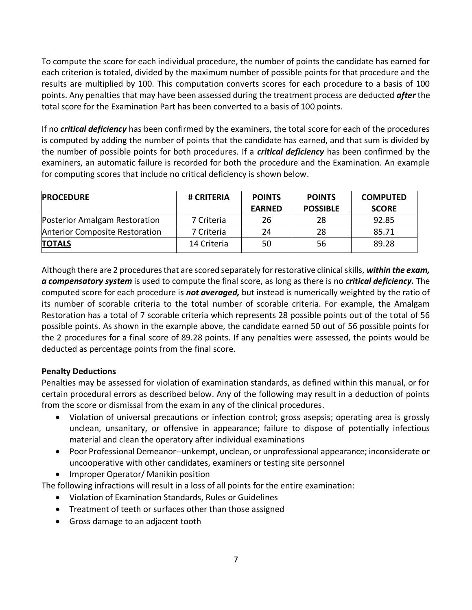To compute the score for each individual procedure, the number of points the candidate has earned for each criterion is totaled, divided by the maximum number of possible points for that procedure and the results are multiplied by 100. This computation converts scores for each procedure to a basis of 100 points. Any penalties that may have been assessed during the treatment process are deducted *after* the total score for the Examination Part has been converted to a basis of 100 points.

If no *critical deficiency* has been confirmed by the examiners, the total score for each of the procedures is computed by adding the number of points that the candidate has earned, and that sum is divided by the number of possible points for both procedures. If a *critical deficiency* has been confirmed by the examiners, an automatic failure is recorded for both the procedure and the Examination. An example for computing scores that include no critical deficiency is shown below.

| <b>PROCEDURE</b>                      | # CRITERIA  | <b>POINTS</b> | <b>POINTS</b>   | <b>COMPUTED</b> |
|---------------------------------------|-------------|---------------|-----------------|-----------------|
|                                       |             | <b>EARNED</b> | <b>POSSIBLE</b> | <b>SCORE</b>    |
| Posterior Amalgam Restoration         | 7 Criteria  | 26            | 28              | 92.85           |
| <b>Anterior Composite Restoration</b> | 7 Criteria  | 24            | 28              | 85.71           |
| <b>TOTALS</b>                         | 14 Criteria | 50            | 56              | 89.28           |

Although there are 2 procedures that are scored separately for restorative clinical skills, *within the exam, a compensatory system* is used to compute the final score, as long as there is no *critical deficiency.* The computed score for each procedure is *not averaged,* but instead is numerically weighted by the ratio of its number of scorable criteria to the total number of scorable criteria. For example, the Amalgam Restoration has a total of 7 scorable criteria which represents 28 possible points out of the total of 56 possible points. As shown in the example above, the candidate earned 50 out of 56 possible points for the 2 procedures for a final score of 89.28 points. If any penalties were assessed, the points would be deducted as percentage points from the final score.

### <span id="page-8-0"></span>**Penalty Deductions**

Penalties may be assessed for violation of examination standards, as defined within this manual, or for certain procedural errors as described below. Any of the following may result in a deduction of points from the score or dismissal from the exam in any of the clinical procedures.

- Violation of universal precautions or infection control; gross asepsis; operating area is grossly unclean, unsanitary, or offensive in appearance; failure to dispose of potentially infectious material and clean the operatory after individual examinations
- Poor Professional Demeanor--unkempt, unclean, or unprofessional appearance; inconsiderate or uncooperative with other candidates, examiners or testing site personnel
- Improper Operator/ Manikin position

The following infractions will result in a loss of all points for the entire examination:

- Violation of Examination Standards, Rules or Guidelines
- Treatment of teeth or surfaces other than those assigned
- Gross damage to an adjacent tooth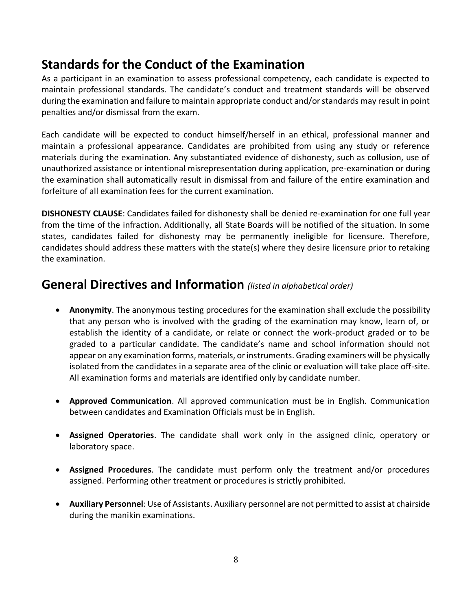# <span id="page-9-0"></span>**Standards for the Conduct of the Examination**

As a participant in an examination to assess professional competency, each candidate is expected to maintain professional standards. The candidate's conduct and treatment standards will be observed during the examination and failure to maintain appropriate conduct and/or standards may result in point penalties and/or dismissal from the exam.

Each candidate will be expected to conduct himself/herself in an ethical, professional manner and maintain a professional appearance. Candidates are prohibited from using any study or reference materials during the examination. Any substantiated evidence of dishonesty, such as collusion, use of unauthorized assistance or intentional misrepresentation during application, pre-examination or during the examination shall automatically result in dismissal from and failure of the entire examination and forfeiture of all examination fees for the current examination.

**DISHONESTY CLAUSE**: Candidates failed for dishonesty shall be denied re-examination for one full year from the time of the infraction. Additionally, all State Boards will be notified of the situation. In some states, candidates failed for dishonesty may be permanently ineligible for licensure. Therefore, candidates should address these matters with the state(s) where they desire licensure prior to retaking the examination.

## <span id="page-9-1"></span>**General Directives and Information** *(listed in alphabetical order)*

- **Anonymity**. The anonymous testing procedures for the examination shall exclude the possibility that any person who is involved with the grading of the examination may know, learn of, or establish the identity of a candidate, or relate or connect the work-product graded or to be graded to a particular candidate. The candidate's name and school information should not appear on any examination forms, materials, or instruments. Grading examiners will be physically isolated from the candidates in a separate area of the clinic or evaluation will take place off-site. All examination forms and materials are identified only by candidate number.
- **Approved Communication**. All approved communication must be in English. Communication between candidates and Examination Officials must be in English.
- **Assigned Operatories**. The candidate shall work only in the assigned clinic, operatory or laboratory space.
- **Assigned Procedures**. The candidate must perform only the treatment and/or procedures assigned. Performing other treatment or procedures is strictly prohibited.
- **Auxiliary Personnel**: Use of Assistants. Auxiliary personnel are not permitted to assist at chairside during the manikin examinations.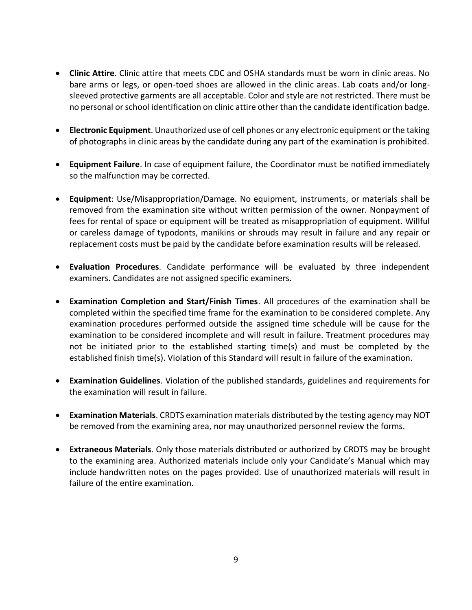- **Clinic Attire**. Clinic attire that meets CDC and OSHA standards must be worn in clinic areas. No bare arms or legs, or open-toed shoes are allowed in the clinic areas. Lab coats and/or longsleeved protective garments are all acceptable. Color and style are not restricted. There must be no personal or school identification on clinic attire other than the candidate identification badge.
- **Electronic Equipment**. Unauthorized use of cell phones or any electronic equipment or the taking of photographs in clinic areas by the candidate during any part of the examination is prohibited.
- **Equipment Failure**. In case of equipment failure, the Coordinator must be notified immediately so the malfunction may be corrected.
- **Equipment**: Use/Misappropriation/Damage. No equipment, instruments, or materials shall be removed from the examination site without written permission of the owner. Nonpayment of fees for rental of space or equipment will be treated as misappropriation of equipment. Willful or careless damage of typodonts, manikins or shrouds may result in failure and any repair or replacement costs must be paid by the candidate before examination results will be released.
- **Evaluation Procedures**. Candidate performance will be evaluated by three independent examiners. Candidates are not assigned specific examiners.
- **Examination Completion and Start/Finish Times**. All procedures of the examination shall be completed within the specified time frame for the examination to be considered complete. Any examination procedures performed outside the assigned time schedule will be cause for the examination to be considered incomplete and will result in failure. Treatment procedures may not be initiated prior to the established starting time(s) and must be completed by the established finish time(s). Violation of this Standard will result in failure of the examination.
- **Examination Guidelines**. Violation of the published standards, guidelines and requirements for the examination will result in failure.
- **Examination Materials**. CRDTS examination materials distributed by the testing agency may NOT be removed from the examining area, nor may unauthorized personnel review the forms.
- **Extraneous Materials**. Only those materials distributed or authorized by CRDTS may be brought to the examining area. Authorized materials include only your Candidate's Manual which may include handwritten notes on the pages provided. Use of unauthorized materials will result in failure of the entire examination.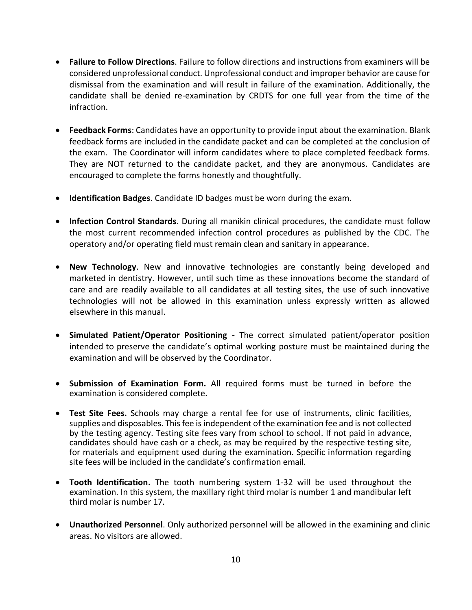- **Failure to Follow Directions**. Failure to follow directions and instructions from examiners will be considered unprofessional conduct. Unprofessional conduct and improper behavior are cause for dismissal from the examination and will result in failure of the examination. Additionally, the candidate shall be denied re-examination by CRDTS for one full year from the time of the infraction.
- **Feedback Forms**: Candidates have an opportunity to provide input about the examination. Blank feedback forms are included in the candidate packet and can be completed at the conclusion of the exam. The Coordinator will inform candidates where to place completed feedback forms. They are NOT returned to the candidate packet, and they are anonymous. Candidates are encouraged to complete the forms honestly and thoughtfully.
- **Identification Badges**. Candidate ID badges must be worn during the exam.
- **Infection Control Standards**. During all manikin clinical procedures, the candidate must follow the most current recommended infection control procedures as published by the CDC. The operatory and/or operating field must remain clean and sanitary in appearance.
- **New Technology**. New and innovative technologies are constantly being developed and marketed in dentistry. However, until such time as these innovations become the standard of care and are readily available to all candidates at all testing sites, the use of such innovative technologies will not be allowed in this examination unless expressly written as allowed elsewhere in this manual.
- **Simulated Patient/Operator Positioning -** The correct simulated patient/operator position intended to preserve the candidate's optimal working posture must be maintained during the examination and will be observed by the Coordinator.
- **Submission of Examination Form.** All required forms must be turned in before the examination is considered complete.
- **Test Site Fees.** Schools may charge a rental fee for use of instruments, clinic facilities, supplies and disposables. This fee is independent of the examination fee and is not collected by the testing agency. Testing site fees vary from school to school. If not paid in advance, candidates should have cash or a check, as may be required by the respective testing site, for materials and equipment used during the examination. Specific information regarding site fees will be included in the candidate's confirmation email.
- **Tooth Identification.** The tooth numbering system 1-32 will be used throughout the examination. In this system, the maxillary right third molar is number 1 and mandibular left third molar is number 17.
- **Unauthorized Personnel**. Only authorized personnel will be allowed in the examining and clinic areas. No visitors are allowed.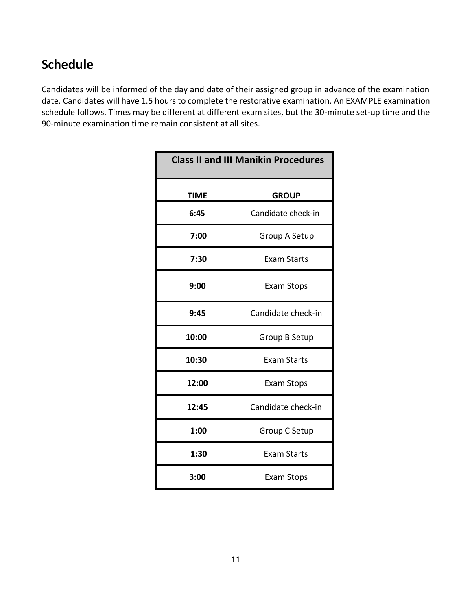# <span id="page-12-0"></span>**Schedule**

Candidates will be informed of the day and date of their assigned group in advance of the examination date. Candidates will have 1.5 hours to complete the restorative examination. An EXAMPLE examination schedule follows. Times may be different at different exam sites, but the 30-minute set-up time and the 90-minute examination time remain consistent at all sites.

| <b>Class II and III Manikin Procedures</b> |                    |  |
|--------------------------------------------|--------------------|--|
| <b>TIME</b>                                | <b>GROUP</b>       |  |
| 6:45                                       | Candidate check-in |  |
| 7:00                                       | Group A Setup      |  |
| 7:30                                       | <b>Exam Starts</b> |  |
| 9:00                                       | <b>Exam Stops</b>  |  |
| 9:45                                       | Candidate check-in |  |
| 10:00                                      | Group B Setup      |  |
| 10:30                                      | <b>Exam Starts</b> |  |
| 12:00                                      | <b>Exam Stops</b>  |  |
| 12:45                                      | Candidate check-in |  |
| 1:00                                       | Group C Setup      |  |
| 1:30                                       | <b>Exam Starts</b> |  |
| 3:00                                       | <b>Exam Stops</b>  |  |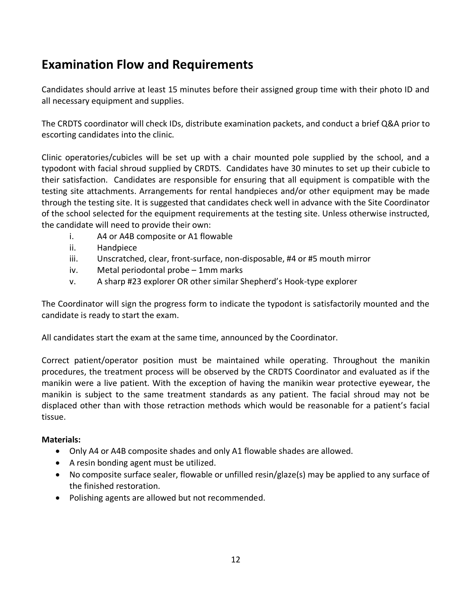# <span id="page-13-0"></span>**Examination Flow and Requirements**

Candidates should arrive at least 15 minutes before their assigned group time with their photo ID and all necessary equipment and supplies.

The CRDTS coordinator will check IDs, distribute examination packets, and conduct a brief Q&A prior to escorting candidates into the clinic.

Clinic operatories/cubicles will be set up with a chair mounted pole supplied by the school, and a typodont with facial shroud supplied by CRDTS. Candidates have 30 minutes to set up their cubicle to their satisfaction. Candidates are responsible for ensuring that all equipment is compatible with the testing site attachments. Arrangements for rental handpieces and/or other equipment may be made through the testing site. It is suggested that candidates check well in advance with the Site Coordinator of the school selected for the equipment requirements at the testing site. Unless otherwise instructed, the candidate will need to provide their own:

- i. A4 or A4B composite or A1 flowable
- ii. Handpiece
- iii. Unscratched, clear, front-surface, non-disposable, #4 or #5 mouth mirror
- iv. Metal periodontal probe 1mm marks
- v. A sharp #23 explorer OR other similar Shepherd's Hook-type explorer

The Coordinator will sign the progress form to indicate the typodont is satisfactorily mounted and the candidate is ready to start the exam.

All candidates start the exam at the same time, announced by the Coordinator.

Correct patient/operator position must be maintained while operating. Throughout the manikin procedures, the treatment process will be observed by the CRDTS Coordinator and evaluated as if the manikin were a live patient. With the exception of having the manikin wear protective eyewear, the manikin is subject to the same treatment standards as any patient. The facial shroud may not be displaced other than with those retraction methods which would be reasonable for a patient's facial tissue.

### **Materials:**

- Only A4 or A4B composite shades and only A1 flowable shades are allowed.
- A resin bonding agent must be utilized.
- No composite surface sealer, flowable or unfilled resin/glaze(s) may be applied to any surface of the finished restoration.
- Polishing agents are allowed but not recommended.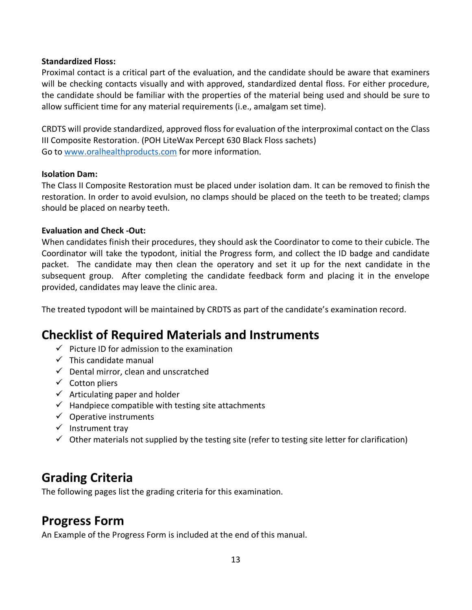### **Standardized Floss:**

Proximal contact is a critical part of the evaluation, and the candidate should be aware that examiners will be checking contacts visually and with approved, standardized dental floss. For either procedure, the candidate should be familiar with the properties of the material being used and should be sure to allow sufficient time for any material requirements (i.e., amalgam set time).

CRDTS will provide standardized, approved floss for evaluation of the interproximal contact on the Class III Composite Restoration. (POH LiteWax Percept 630 Black Floss sachets) Go to [www.oralhealthproducts.com](http://www.oralhealthproducts.com/) for more information.

### **Isolation Dam:**

The Class II Composite Restoration must be placed under isolation dam. It can be removed to finish the restoration. In order to avoid evulsion, no clamps should be placed on the teeth to be treated; clamps should be placed on nearby teeth.

### **Evaluation and Check -Out:**

When candidates finish their procedures, they should ask the Coordinator to come to their cubicle. The Coordinator will take the typodont, initial the Progress form, and collect the ID badge and candidate packet. The candidate may then clean the operatory and set it up for the next candidate in the subsequent group. After completing the candidate feedback form and placing it in the envelope provided, candidates may leave the clinic area.

The treated typodont will be maintained by CRDTS as part of the candidate's examination record.

# <span id="page-14-0"></span>**Checklist of Required Materials and Instruments**

- $\checkmark$  Picture ID for admission to the examination
- $\checkmark$  This candidate manual
- $\checkmark$  Dental mirror, clean and unscratched
- ✓ Cotton pliers
- $\checkmark$  Articulating paper and holder
- $\checkmark$  Handpiece compatible with testing site attachments
- $\checkmark$  Operative instruments
- ✓ Instrument tray
- $\checkmark$  Other materials not supplied by the testing site (refer to testing site letter for clarification)

# <span id="page-14-1"></span>**Grading Criteria**

The following pages list the grading criteria for this examination.

# <span id="page-14-2"></span>**Progress Form**

An Example of the Progress Form is included at the end of this manual.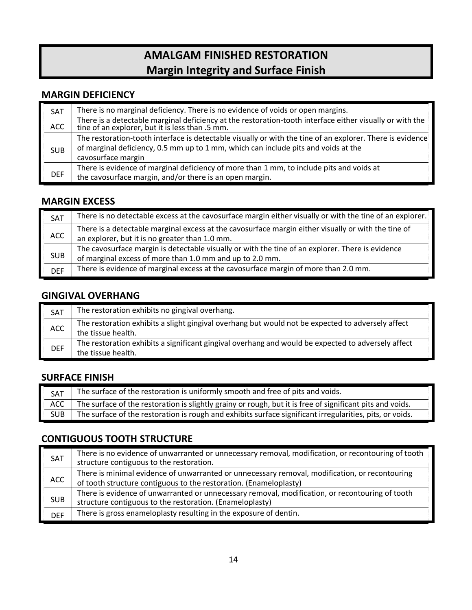# **AMALGAM FINISHED RESTORATION Margin Integrity and Surface Finish**

### **MARGIN DEFICIENCY**

| SAT        | There is no marginal deficiency. There is no evidence of voids or open margins.                                                                          |
|------------|----------------------------------------------------------------------------------------------------------------------------------------------------------|
| ACC        | There is a detectable marginal deficiency at the restoration-tooth interface either visually or with the tine of an explorer, but it is less than .5 mm. |
|            | The restoration-tooth interface is detectable visually or with the tine of an explorer. There is evidence                                                |
| <b>SUB</b> | of marginal deficiency, 0.5 mm up to 1 mm, which can include pits and voids at the                                                                       |
|            | cavosurface margin                                                                                                                                       |
|            | There is evidence of marginal deficiency of more than 1 mm, to include pits and voids at                                                                 |
| <b>DEF</b> | the cavosurface margin, and/or there is an open margin.                                                                                                  |

### **MARGIN EXCESS**

| SAT        | There is no detectable excess at the cavosurface margin either visually or with the tine of an explorer.                                                     |
|------------|--------------------------------------------------------------------------------------------------------------------------------------------------------------|
| ACC        | There is a detectable marginal excess at the cavosurface margin either visually or with the tine of<br>an explorer, but it is no greater than 1.0 mm.        |
| <b>SUB</b> | The cavosurface margin is detectable visually or with the tine of an explorer. There is evidence<br>of marginal excess of more than 1.0 mm and up to 2.0 mm. |
| <b>DEF</b> | There is evidence of marginal excess at the cavosurface margin of more than 2.0 mm.                                                                          |

### **GINGIVAL OVERHANG**

| <b>SAT</b> | The restoration exhibits no gingival overhang.                                                                           |
|------------|--------------------------------------------------------------------------------------------------------------------------|
| <b>ACC</b> | The restoration exhibits a slight gingival overhang but would not be expected to adversely affect<br>the tissue health.  |
| <b>DEF</b> | The restoration exhibits a significant gingival overhang and would be expected to adversely affect<br>the tissue health. |

### **SURFACE FINISH**

| SAT        | The surface of the restoration is uniformly smooth and free of pits and voids.                            |
|------------|-----------------------------------------------------------------------------------------------------------|
| ACC        | The surface of the restoration is slightly grainy or rough, but it is free of significant pits and voids. |
| <b>SUB</b> | The surface of the restoration is rough and exhibits surface significant irregularities, pits, or voids.  |

### **CONTIGUOUS TOOTH STRUCTURE**

| SAT        | There is no evidence of unwarranted or unnecessary removal, modification, or recontouring of tooth<br>structure contiguous to the restoration.                      |
|------------|---------------------------------------------------------------------------------------------------------------------------------------------------------------------|
| <b>ACC</b> | There is minimal evidence of unwarranted or unnecessary removal, modification, or recontouring<br>of tooth structure contiguous to the restoration. (Enameloplasty) |
| <b>SUB</b> | There is evidence of unwarranted or unnecessary removal, modification, or recontouring of tooth<br>structure contiguous to the restoration. (Enameloplasty)         |
| <b>DEF</b> | There is gross enameloplasty resulting in the exposure of dentin.                                                                                                   |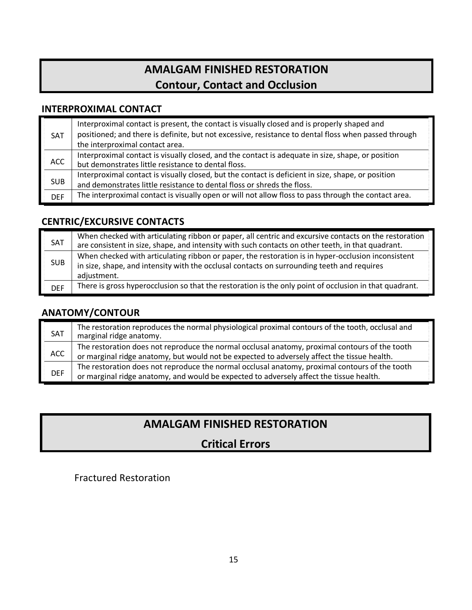# **AMALGAM FINISHED RESTORATION Contour, Contact and Occlusion**

### **INTERPROXIMAL CONTACT**

| <b>SAT</b> | Interproximal contact is present, the contact is visually closed and is properly shaped and<br>positioned; and there is definite, but not excessive, resistance to dental floss when passed through<br>the interproximal contact area. |
|------------|----------------------------------------------------------------------------------------------------------------------------------------------------------------------------------------------------------------------------------------|
| ACC        | Interproximal contact is visually closed, and the contact is adequate in size, shape, or position<br>but demonstrates little resistance to dental floss.                                                                               |
| <b>SUB</b> | Interproximal contact is visually closed, but the contact is deficient in size, shape, or position<br>and demonstrates little resistance to dental floss or shreds the floss.                                                          |
| <b>DEF</b> | The interproximal contact is visually open or will not allow floss to pass through the contact area.                                                                                                                                   |

### **CENTRIC/EXCURSIVE CONTACTS**

| SAT        | When checked with articulating ribbon or paper, all centric and excursive contacts on the restoration<br>are consistent in size, shape, and intensity with such contacts on other teeth, in that quadrant.      |
|------------|-----------------------------------------------------------------------------------------------------------------------------------------------------------------------------------------------------------------|
| <b>SUB</b> | When checked with articulating ribbon or paper, the restoration is in hyper-occlusion inconsistent<br>in size, shape, and intensity with the occlusal contacts on surrounding teeth and requires<br>adjustment. |
| <b>DEF</b> | There is gross hyperocclusion so that the restoration is the only point of occlusion in that quadrant.                                                                                                          |

### **ANATOMY/CONTOUR**

| SAT        | The restoration reproduces the normal physiological proximal contours of the tooth, occlusal and<br>marginal ridge anatomy.                                                                   |
|------------|-----------------------------------------------------------------------------------------------------------------------------------------------------------------------------------------------|
| <b>ACC</b> | The restoration does not reproduce the normal occlusal anatomy, proximal contours of the tooth<br>or marginal ridge anatomy, but would not be expected to adversely affect the tissue health. |
| <b>DEF</b> | The restoration does not reproduce the normal occlusal anatomy, proximal contours of the tooth<br>or marginal ridge anatomy, and would be expected to adversely affect the tissue health.     |

# **AMALGAM FINISHED RESTORATION**

# **Critical Errors**

### Fractured Restoration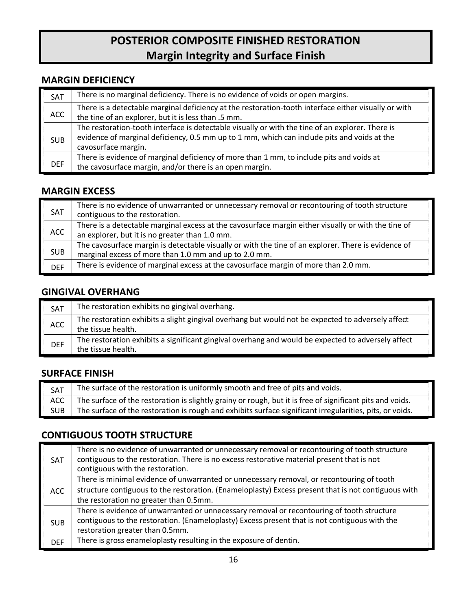# **POSTERIOR COMPOSITE FINISHED RESTORATION Margin Integrity and Surface Finish**

### **MARGIN DEFICIENCY**

| <b>SAT</b> | There is no marginal deficiency. There is no evidence of voids or open margins.                                                                                                                                        |
|------------|------------------------------------------------------------------------------------------------------------------------------------------------------------------------------------------------------------------------|
| <b>ACC</b> | There is a detectable marginal deficiency at the restoration-tooth interface either visually or with<br>the tine of an explorer, but it is less than .5 mm.                                                            |
| <b>SUB</b> | The restoration-tooth interface is detectable visually or with the tine of an explorer. There is<br>evidence of marginal deficiency, 0.5 mm up to 1 mm, which can include pits and voids at the<br>cavosurface margin. |
| <b>DEF</b> | There is evidence of marginal deficiency of more than 1 mm, to include pits and voids at<br>the cavosurface margin, and/or there is an open margin.                                                                    |

### **MARGIN EXCESS**

| SAT        | There is no evidence of unwarranted or unnecessary removal or recontouring of tooth structure<br>contiguous to the restoration.                              |
|------------|--------------------------------------------------------------------------------------------------------------------------------------------------------------|
| <b>ACC</b> | There is a detectable marginal excess at the cavosurface margin either visually or with the tine of<br>an explorer, but it is no greater than 1.0 mm.        |
| <b>SUB</b> | The cavosurface margin is detectable visually or with the tine of an explorer. There is evidence of<br>marginal excess of more than 1.0 mm and up to 2.0 mm. |
| <b>DEF</b> | There is evidence of marginal excess at the cavosurface margin of more than 2.0 mm.                                                                          |

### **GINGIVAL OVERHANG**

| <b>SAT</b> | The restoration exhibits no gingival overhang.                                                                           |
|------------|--------------------------------------------------------------------------------------------------------------------------|
| <b>ACC</b> | The restoration exhibits a slight gingival overhang but would not be expected to adversely affect<br>the tissue health.  |
| <b>DEF</b> | The restoration exhibits a significant gingival overhang and would be expected to adversely affect<br>the tissue health. |

### **SURFACE FINISH**

| SAT        | The surface of the restoration is uniformly smooth and free of pits and voids.                            |
|------------|-----------------------------------------------------------------------------------------------------------|
| ACC        | The surface of the restoration is slightly grainy or rough, but it is free of significant pits and voids. |
| <b>SUB</b> | The surface of the restoration is rough and exhibits surface significant irregularities, pits, or voids.  |

### **CONTIGUOUS TOOTH STRUCTURE**

| <b>SAT</b> | There is no evidence of unwarranted or unnecessary removal or recontouring of tooth structure<br>contiguous to the restoration. There is no excess restorative material present that is not<br>contiguous with the restoration.            |
|------------|--------------------------------------------------------------------------------------------------------------------------------------------------------------------------------------------------------------------------------------------|
| <b>ACC</b> | There is minimal evidence of unwarranted or unnecessary removal, or recontouring of tooth<br>structure contiguous to the restoration. (Enameloplasty) Excess present that is not contiguous with<br>the restoration no greater than 0.5mm. |
| <b>SUB</b> | There is evidence of unwarranted or unnecessary removal or recontouring of tooth structure<br>contiguous to the restoration. (Enameloplasty) Excess present that is not contiguous with the<br>restoration greater than 0.5mm.             |
| <b>DEF</b> | There is gross enameloplasty resulting in the exposure of dentin.                                                                                                                                                                          |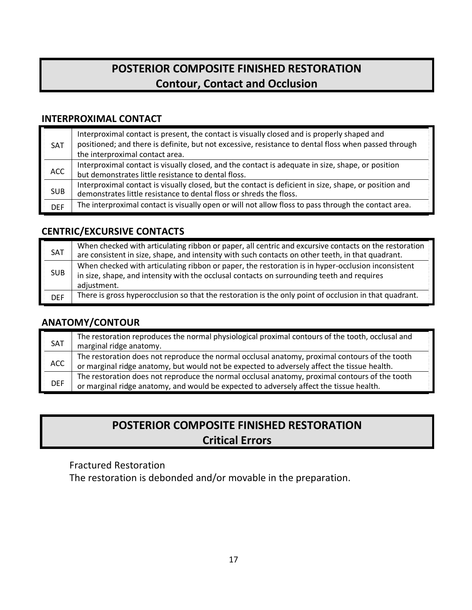# **POSTERIOR COMPOSITE FINISHED RESTORATION Contour, Contact and Occlusion**

### **INTERPROXIMAL CONTACT**

| <b>SAT</b> | Interproximal contact is present, the contact is visually closed and is properly shaped and<br>positioned; and there is definite, but not excessive, resistance to dental floss when passed through<br>the interproximal contact area. |
|------------|----------------------------------------------------------------------------------------------------------------------------------------------------------------------------------------------------------------------------------------|
| <b>ACC</b> | Interproximal contact is visually closed, and the contact is adequate in size, shape, or position<br>but demonstrates little resistance to dental floss.                                                                               |
| <b>SUB</b> | Interproximal contact is visually closed, but the contact is deficient in size, shape, or position and<br>demonstrates little resistance to dental floss or shreds the floss.                                                          |
| <b>DEF</b> | The interproximal contact is visually open or will not allow floss to pass through the contact area.                                                                                                                                   |

### **CENTRIC/EXCURSIVE CONTACTS**

| SAT        | When checked with articulating ribbon or paper, all centric and excursive contacts on the restoration<br>are consistent in size, shape, and intensity with such contacts on other teeth, in that quadrant.      |
|------------|-----------------------------------------------------------------------------------------------------------------------------------------------------------------------------------------------------------------|
| <b>SUB</b> | When checked with articulating ribbon or paper, the restoration is in hyper-occlusion inconsistent<br>in size, shape, and intensity with the occlusal contacts on surrounding teeth and requires<br>adjustment. |
| <b>DEF</b> | There is gross hyperocclusion so that the restoration is the only point of occlusion in that quadrant.                                                                                                          |

### **ANATOMY/CONTOUR**

| SAT        | The restoration reproduces the normal physiological proximal contours of the tooth, occlusal and<br>marginal ridge anatomy.                                                                   |
|------------|-----------------------------------------------------------------------------------------------------------------------------------------------------------------------------------------------|
| ACC        | The restoration does not reproduce the normal occlusal anatomy, proximal contours of the tooth<br>or marginal ridge anatomy, but would not be expected to adversely affect the tissue health. |
| <b>DEF</b> | The restoration does not reproduce the normal occlusal anatomy, proximal contours of the tooth<br>or marginal ridge anatomy, and would be expected to adversely affect the tissue health.     |

# **POSTERIOR COMPOSITE FINISHED RESTORATION Critical Errors**

### Fractured Restoration

The restoration is debonded and/or movable in the preparation.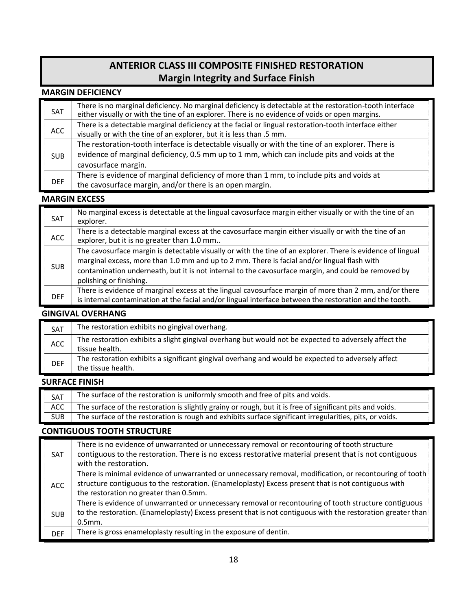## **ANTERIOR CLASS III COMPOSITE FINISHED RESTORATION Margin Integrity and Surface Finish**

#### **MARGIN DEFICIENCY**

| <b>SAT</b> | There is no marginal deficiency. No marginal deficiency is detectable at the restoration-tooth interface<br>either visually or with the tine of an explorer. There is no evidence of voids or open margins.            |
|------------|------------------------------------------------------------------------------------------------------------------------------------------------------------------------------------------------------------------------|
| <b>ACC</b> | There is a detectable marginal deficiency at the facial or lingual restoration-tooth interface either<br>visually or with the tine of an explorer, but it is less than .5 mm.                                          |
| <b>SUB</b> | The restoration-tooth interface is detectable visually or with the tine of an explorer. There is<br>evidence of marginal deficiency, 0.5 mm up to 1 mm, which can include pits and voids at the<br>cavosurface margin. |
| <b>DEF</b> | There is evidence of marginal deficiency of more than 1 mm, to include pits and voids at<br>the cavosurface margin, and/or there is an open margin.                                                                    |

### **MARGIN EXCESS**

| SAT        | No marginal excess is detectable at the lingual cavosurface margin either visually or with the tine of an<br>explorer.                                                                                                                                                                                                                       |
|------------|----------------------------------------------------------------------------------------------------------------------------------------------------------------------------------------------------------------------------------------------------------------------------------------------------------------------------------------------|
| <b>ACC</b> | There is a detectable marginal excess at the cavosurface margin either visually or with the tine of an<br>explorer, but it is no greater than 1.0 mm                                                                                                                                                                                         |
| <b>SUB</b> | The cavosurface margin is detectable visually or with the tine of an explorer. There is evidence of lingual<br>marginal excess, more than 1.0 mm and up to 2 mm. There is facial and/or lingual flash with<br>contamination underneath, but it is not internal to the cavosurface margin, and could be removed by<br>polishing or finishing. |
| <b>DEF</b> | There is evidence of marginal excess at the lingual cavosurface margin of more than 2 mm, and/or there<br>is internal contamination at the facial and/or lingual interface between the restoration and the tooth.                                                                                                                            |

### **GINGIVAL OVERHANG**

| SAT        | The restoration exhibits no gingival overhang.                                                                           |
|------------|--------------------------------------------------------------------------------------------------------------------------|
| <b>ACC</b> | The restoration exhibits a slight gingival overhang but would not be expected to adversely affect the<br>tissue health.  |
| <b>DEF</b> | The restoration exhibits a significant gingival overhang and would be expected to adversely affect<br>the tissue health. |

#### **SURFACE FINISH**

| SAT        | The surface of the restoration is uniformly smooth and free of pits and voids.                            |
|------------|-----------------------------------------------------------------------------------------------------------|
| ACC        | The surface of the restoration is slightly grainy or rough, but it is free of significant pits and voids. |
| <b>SUB</b> | The surface of the restoration is rough and exhibits surface significant irregularities, pits, or voids.  |

### **CONTIGUOUS TOOTH STRUCTURE**

| <b>SAT</b> | There is no evidence of unwarranted or unnecessary removal or recontouring of tooth structure<br>contiguous to the restoration. There is no excess restorative material present that is not contiguous<br>with the restoration.                          |
|------------|----------------------------------------------------------------------------------------------------------------------------------------------------------------------------------------------------------------------------------------------------------|
| <b>ACC</b> | There is minimal evidence of unwarranted or unnecessary removal, modification, or recontouring of tooth<br>structure contiguous to the restoration. (Enameloplasty) Excess present that is not contiguous with<br>the restoration no greater than 0.5mm. |
| <b>SUB</b> | There is evidence of unwarranted or unnecessary removal or recontouring of tooth structure contiguous<br>to the restoration. (Enameloplasty) Excess present that is not contiguous with the restoration greater than<br>$0.5$ mm.                        |
| <b>DEF</b> | There is gross enameloplasty resulting in the exposure of dentin.                                                                                                                                                                                        |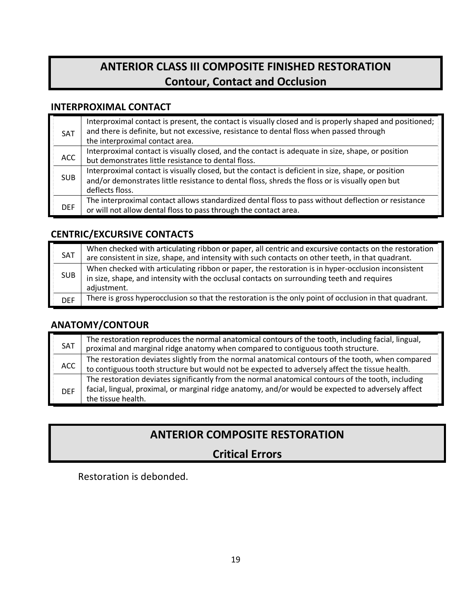# **ANTERIOR CLASS III COMPOSITE FINISHED RESTORATION Contour, Contact and Occlusion**

### **INTERPROXIMAL CONTACT**

| <b>SAT</b> | Interproximal contact is present, the contact is visually closed and is properly shaped and positioned;<br>and there is definite, but not excessive, resistance to dental floss when passed through<br>the interproximal contact area. |
|------------|----------------------------------------------------------------------------------------------------------------------------------------------------------------------------------------------------------------------------------------|
| <b>ACC</b> | Interproximal contact is visually closed, and the contact is adequate in size, shape, or position<br>but demonstrates little resistance to dental floss.                                                                               |
| <b>SUB</b> | Interproximal contact is visually closed, but the contact is deficient in size, shape, or position<br>and/or demonstrates little resistance to dental floss, shreds the floss or is visually open but<br>deflects floss.               |
| <b>DEF</b> | The interproximal contact allows standardized dental floss to pass without deflection or resistance<br>or will not allow dental floss to pass through the contact area.                                                                |

### **CENTRIC/EXCURSIVE CONTACTS**

| <b>SAT</b> | When checked with articulating ribbon or paper, all centric and excursive contacts on the restoration<br>are consistent in size, shape, and intensity with such contacts on other teeth, in that quadrant.      |
|------------|-----------------------------------------------------------------------------------------------------------------------------------------------------------------------------------------------------------------|
| <b>SUB</b> | When checked with articulating ribbon or paper, the restoration is in hyper-occlusion inconsistent<br>in size, shape, and intensity with the occlusal contacts on surrounding teeth and requires<br>adjustment. |
| <b>DEF</b> | There is gross hyperocclusion so that the restoration is the only point of occlusion in that quadrant.                                                                                                          |

### **ANATOMY/CONTOUR**

| SAT        | The restoration reproduces the normal anatomical contours of the tooth, including facial, lingual,<br>proximal and marginal ridge anatomy when compared to contiguous tooth structure.                                         |
|------------|--------------------------------------------------------------------------------------------------------------------------------------------------------------------------------------------------------------------------------|
| ACC        | The restoration deviates slightly from the normal anatomical contours of the tooth, when compared<br>to contiguous tooth structure but would not be expected to adversely affect the tissue health.                            |
| <b>DEF</b> | The restoration deviates significantly from the normal anatomical contours of the tooth, including<br>facial, lingual, proximal, or marginal ridge anatomy, and/or would be expected to adversely affect<br>the tissue health. |

# **ANTERIOR COMPOSITE RESTORATION**

# **Critical Errors**

Restoration is debonded.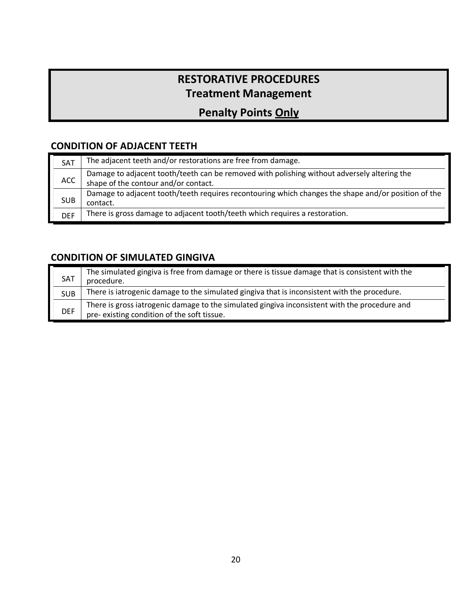# **RESTORATIVE PROCEDURES Treatment Management**

# **Penalty Points Only**

### **CONDITION OF ADJACENT TEETH**

| SAT        | The adjacent teeth and/or restorations are free from damage.                                                                        |
|------------|-------------------------------------------------------------------------------------------------------------------------------------|
| ACC.       | Damage to adjacent tooth/teeth can be removed with polishing without adversely altering the<br>shape of the contour and/or contact. |
| <b>SUB</b> | Damage to adjacent tooth/teeth requires recontouring which changes the shape and/or position of the<br>contact.                     |
| <b>DEF</b> | There is gross damage to adjacent tooth/teeth which requires a restoration.                                                         |

### **CONDITION OF SIMULATED GINGIVA**

| SAT        | The simulated gingiva is free from damage or there is tissue damage that is consistent with the<br>procedure.                               |
|------------|---------------------------------------------------------------------------------------------------------------------------------------------|
| <b>SUB</b> | There is iatrogenic damage to the simulated gingiva that is inconsistent with the procedure.                                                |
| <b>DEF</b> | There is gross iatrogenic damage to the simulated gingiva inconsistent with the procedure and<br>pre-existing condition of the soft tissue. |